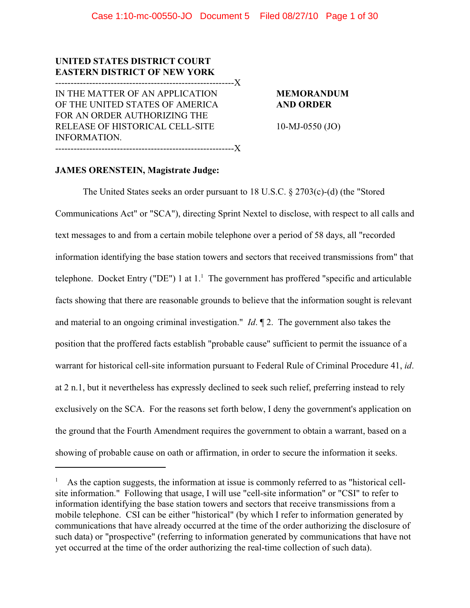# **UNITED STATES DISTRICT COURT EASTERN DISTRICT OF NEW YORK** ----------------------------------------------------------X

IN THE MATTER OF AN APPLICATION **MEMORANDUM** OF THE UNITED STATES OF AMERICA **AND ORDER** FOR AN ORDER AUTHORIZING THE RELEASE OF HISTORICAL CELL-SITE 10-MJ-0550 (JO) INFORMATION. ----------------------------------------------------------X

# **JAMES ORENSTEIN, Magistrate Judge:**

The United States seeks an order pursuant to 18 U.S.C. § 2703(c)-(d) (the "Stored Communications Act" or "SCA"), directing Sprint Nextel to disclose, with respect to all calls and text messages to and from a certain mobile telephone over a period of 58 days, all "recorded information identifying the base station towers and sectors that received transmissions from" that telephone. Docket Entry ("DE") 1 at  $1<sup>1</sup>$ . The government has proffered "specific and articulable facts showing that there are reasonable grounds to believe that the information sought is relevant and material to an ongoing criminal investigation." *Id*. ¶ 2. The government also takes the position that the proffered facts establish "probable cause" sufficient to permit the issuance of a warrant for historical cell-site information pursuant to Federal Rule of Criminal Procedure 41, *id*. at 2 n.1, but it nevertheless has expressly declined to seek such relief, preferring instead to rely exclusively on the SCA. For the reasons set forth below, I deny the government's application on the ground that the Fourth Amendment requires the government to obtain a warrant, based on a showing of probable cause on oath or affirmation, in order to secure the information it seeks.

As the caption suggests, the information at issue is commonly referred to as "historical cell- <sup>1</sup> site information." Following that usage, I will use "cell-site information" or "CSI" to refer to information identifying the base station towers and sectors that receive transmissions from a mobile telephone. CSI can be either "historical" (by which I refer to information generated by communications that have already occurred at the time of the order authorizing the disclosure of such data) or "prospective" (referring to information generated by communications that have not yet occurred at the time of the order authorizing the real-time collection of such data).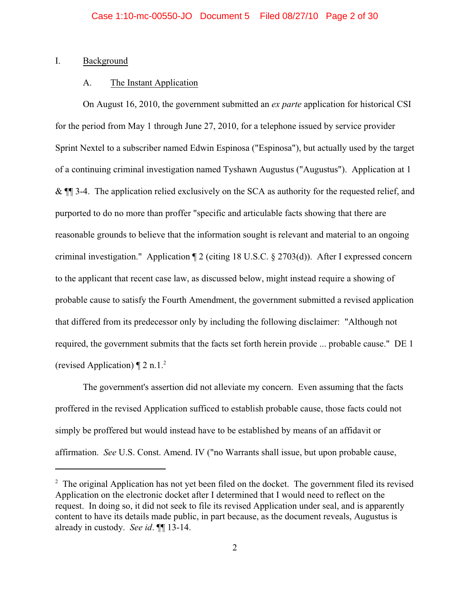## I. Background

# A. The Instant Application

On August 16, 2010, the government submitted an *ex parte* application for historical CSI for the period from May 1 through June 27, 2010, for a telephone issued by service provider Sprint Nextel to a subscriber named Edwin Espinosa ("Espinosa"), but actually used by the target of a continuing criminal investigation named Tyshawn Augustus ("Augustus"). Application at 1 & ¶¶ 3-4. The application relied exclusively on the SCA as authority for the requested relief, and purported to do no more than proffer "specific and articulable facts showing that there are reasonable grounds to believe that the information sought is relevant and material to an ongoing criminal investigation." Application ¶ 2 (citing 18 U.S.C. § 2703(d)). After I expressed concern to the applicant that recent case law, as discussed below, might instead require a showing of probable cause to satisfy the Fourth Amendment, the government submitted a revised application that differed from its predecessor only by including the following disclaimer: "Although not required, the government submits that the facts set forth herein provide ... probable cause." DE 1 (revised Application)  $\P$  2 n.1.<sup>2</sup>

The government's assertion did not alleviate my concern. Even assuming that the facts proffered in the revised Application sufficed to establish probable cause, those facts could not simply be proffered but would instead have to be established by means of an affidavit or affirmation. *See* U.S. Const. Amend. IV ("no Warrants shall issue, but upon probable cause,

 $2\degree$  The original Application has not yet been filed on the docket. The government filed its revised Application on the electronic docket after I determined that I would need to reflect on the request. In doing so, it did not seek to file its revised Application under seal, and is apparently content to have its details made public, in part because, as the document reveals, Augustus is already in custody. *See id*. ¶¶ 13-14.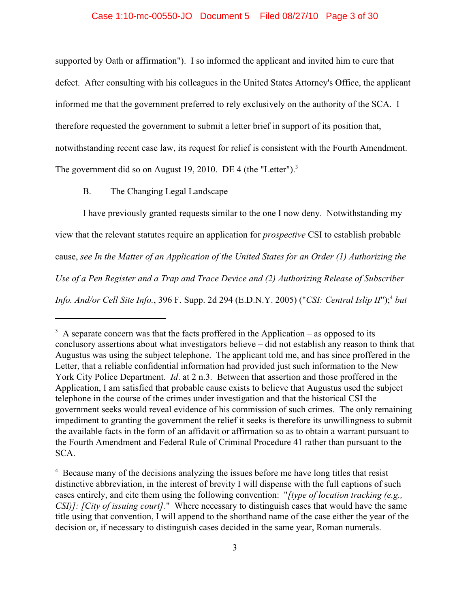# Case 1:10-mc-00550-JO Document 5 Filed 08/27/10 Page 3 of 30

supported by Oath or affirmation"). I so informed the applicant and invited him to cure that defect. After consulting with his colleagues in the United States Attorney's Office, the applicant informed me that the government preferred to rely exclusively on the authority of the SCA. I therefore requested the government to submit a letter brief in support of its position that, notwithstanding recent case law, its request for relief is consistent with the Fourth Amendment. The government did so on August 19, 2010. DE 4 (the "Letter").<sup>3</sup>

# B. The Changing Legal Landscape

I have previously granted requests similar to the one I now deny. Notwithstanding my view that the relevant statutes require an application for *prospective* CSI to establish probable cause, *see In the Matter of an Application of the United States for an Order (1) Authorizing the Use of a Pen Register and a Trap and Trace Device and (2) Authorizing Release of Subscriber Info. And/or Cell Site Info.*, 396 F. Supp. 2d 294 (E.D.N.Y. 2005) ("*CSI: Central Islip II*"); *but* <sup>4</sup>

 $3\,$  A separate concern was that the facts proffered in the Application – as opposed to its conclusory assertions about what investigators believe – did not establish any reason to think that Augustus was using the subject telephone. The applicant told me, and has since proffered in the Letter, that a reliable confidential information had provided just such information to the New York City Police Department. *Id*. at 2 n.3. Between that assertion and those proffered in the Application, I am satisfied that probable cause exists to believe that Augustus used the subject telephone in the course of the crimes under investigation and that the historical CSI the government seeks would reveal evidence of his commission of such crimes. The only remaining impediment to granting the government the relief it seeks is therefore its unwillingness to submit the available facts in the form of an affidavit or affirmation so as to obtain a warrant pursuant to the Fourth Amendment and Federal Rule of Criminal Procedure 41 rather than pursuant to the SCA.

<sup>&</sup>lt;sup>4</sup> Because many of the decisions analyzing the issues before me have long titles that resist distinctive abbreviation, in the interest of brevity I will dispense with the full captions of such cases entirely, and cite them using the following convention: "*[type of location tracking (e.g., CSI)]: [City of issuing court]*." Where necessary to distinguish cases that would have the same title using that convention, I will append to the shorthand name of the case either the year of the decision or, if necessary to distinguish cases decided in the same year, Roman numerals.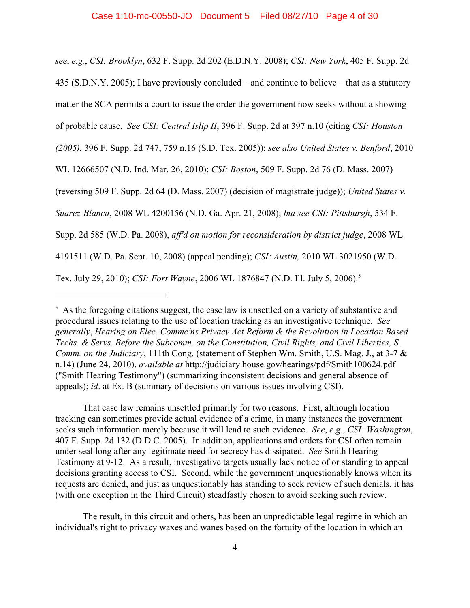*see*, *e.g.*, *CSI: Brooklyn*, 632 F. Supp. 2d 202 (E.D.N.Y. 2008); *CSI: New York*, 405 F. Supp. 2d 435 (S.D.N.Y. 2005); I have previously concluded – and continue to believe – that as a statutory matter the SCA permits a court to issue the order the government now seeks without a showing of probable cause. *See CSI: Central Islip II*, 396 F. Supp. 2d at 397 n.10 (citing *CSI: Houston (2005)*, 396 F. Supp. 2d 747, 759 n.16 (S.D. Tex. 2005)); *see also United States v. Benford*, 2010 WL 12666507 (N.D. Ind. Mar. 26, 2010); *CSI: Boston*, 509 F. Supp. 2d 76 (D. Mass. 2007) (reversing 509 F. Supp. 2d 64 (D. Mass. 2007) (decision of magistrate judge)); *United States v. Suarez-Blanca*, 2008 WL 4200156 (N.D. Ga. Apr. 21, 2008); *but see CSI: Pittsburgh*, 534 F. Supp. 2d 585 (W.D. Pa. 2008), *aff'd on motion for reconsideration by district judge*, 2008 WL 4191511 (W.D. Pa. Sept. 10, 2008) (appeal pending); *CSI: Austin,* 2010 WL 3021950 (W.D. Tex. July 29, 2010); *CSI: Fort Wayne*, 2006 WL 1876847 (N.D. Ill. July 5, 2006).<sup>5</sup>

That case law remains unsettled primarily for two reasons. First, although location tracking can sometimes provide actual evidence of a crime, in many instances the government seeks such information merely because it will lead to such evidence. *See*, *e.g.*, *CSI: Washington*, 407 F. Supp. 2d 132 (D.D.C. 2005). In addition, applications and orders for CSI often remain under seal long after any legitimate need for secrecy has dissipated. *See* Smith Hearing Testimony at 9-12. As a result, investigative targets usually lack notice of or standing to appeal decisions granting access to CSI. Second, while the government unquestionably knows when its requests are denied, and just as unquestionably has standing to seek review of such denials, it has (with one exception in the Third Circuit) steadfastly chosen to avoid seeking such review.

The result, in this circuit and others, has been an unpredictable legal regime in which an individual's right to privacy waxes and wanes based on the fortuity of the location in which an

 $<sup>5</sup>$  As the foregoing citations suggest, the case law is unsettled on a variety of substantive and</sup> procedural issues relating to the use of location tracking as an investigative technique. *See generally*, *Hearing on Elec. Commc'ns Privacy Act Reform & the Revolution in Location Based Techs. & Servs. Before the Subcomm. on the Constitution, Civil Rights, and Civil Liberties, S. Comm. on the Judiciary*, 111th Cong. (statement of Stephen Wm. Smith, U.S. Mag. J., at 3-7 & n.14) (June 24, 2010), *available at* http://judiciary.house.gov/hearings/pdf/Smith100624.pdf ("Smith Hearing Testimony") (summarizing inconsistent decisions and general absence of appeals); *id*. at Ex. B (summary of decisions on various issues involving CSI).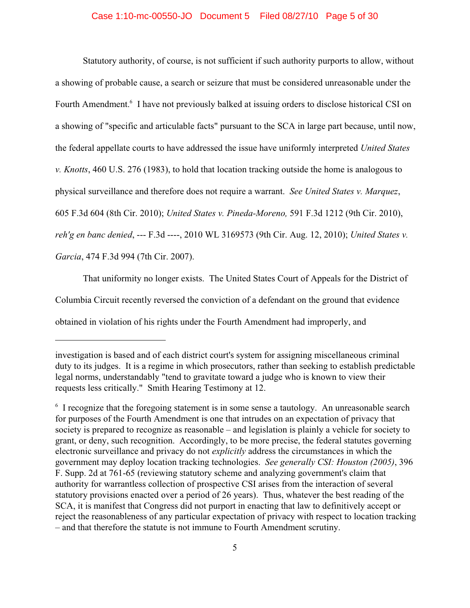# Case 1:10-mc-00550-JO Document 5 Filed 08/27/10 Page 5 of 30

Statutory authority, of course, is not sufficient if such authority purports to allow, without a showing of probable cause, a search or seizure that must be considered unreasonable under the Fourth Amendment.<sup>6</sup> I have not previously balked at issuing orders to disclose historical CSI on a showing of "specific and articulable facts" pursuant to the SCA in large part because, until now, the federal appellate courts to have addressed the issue have uniformly interpreted *United States v. Knotts*, 460 U.S. 276 (1983), to hold that location tracking outside the home is analogous to physical surveillance and therefore does not require a warrant. *See United States v. Marquez*, 605 F.3d 604 (8th Cir. 2010); *United States v. Pineda-Moreno,* 591 F.3d 1212 (9th Cir. 2010), *reh'g en banc denied*, --- F.3d ----, 2010 WL 3169573 (9th Cir. Aug. 12, 2010); *United States v. Garcia*, 474 F.3d 994 (7th Cir. 2007).

That uniformity no longer exists. The United States Court of Appeals for the District of Columbia Circuit recently reversed the conviction of a defendant on the ground that evidence obtained in violation of his rights under the Fourth Amendment had improperly, and

investigation is based and of each district court's system for assigning miscellaneous criminal duty to its judges. It is a regime in which prosecutors, rather than seeking to establish predictable legal norms, understandably "tend to gravitate toward a judge who is known to view their requests less critically." Smith Hearing Testimony at 12.

 $\delta$  I recognize that the foregoing statement is in some sense a tautology. An unreasonable search for purposes of the Fourth Amendment is one that intrudes on an expectation of privacy that society is prepared to recognize as reasonable – and legislation is plainly a vehicle for society to grant, or deny, such recognition. Accordingly, to be more precise, the federal statutes governing electronic surveillance and privacy do not *explicitly* address the circumstances in which the government may deploy location tracking technologies. *See generally CSI: Houston (2005)*, 396 F. Supp. 2d at 761-65 (reviewing statutory scheme and analyzing government's claim that authority for warrantless collection of prospective CSI arises from the interaction of several statutory provisions enacted over a period of 26 years). Thus, whatever the best reading of the SCA, it is manifest that Congress did not purport in enacting that law to definitively accept or reject the reasonableness of any particular expectation of privacy with respect to location tracking – and that therefore the statute is not immune to Fourth Amendment scrutiny.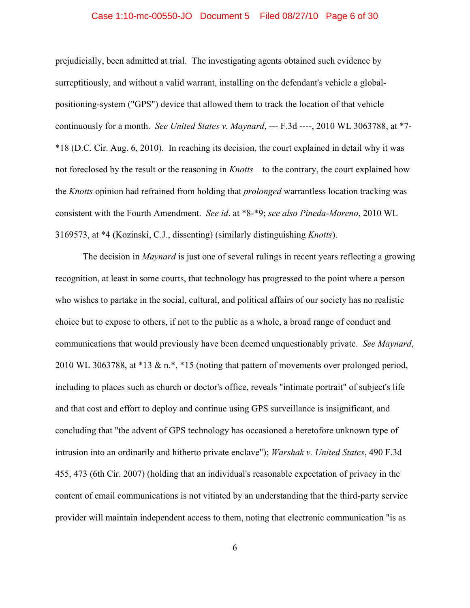## Case 1:10-mc-00550-JO Document 5 Filed 08/27/10 Page 6 of 30

prejudicially, been admitted at trial. The investigating agents obtained such evidence by surreptitiously, and without a valid warrant, installing on the defendant's vehicle a globalpositioning-system ("GPS") device that allowed them to track the location of that vehicle continuously for a month. *See United States v. Maynard*, --- F.3d ----, 2010 WL 3063788, at \*7- \*18 (D.C. Cir. Aug. 6, 2010). In reaching its decision, the court explained in detail why it was not foreclosed by the result or the reasoning in *Knotts* – to the contrary, the court explained how the *Knotts* opinion had refrained from holding that *prolonged* warrantless location tracking was consistent with the Fourth Amendment. *See id*. at \*8-\*9; *see also Pineda-Moreno*, 2010 WL 3169573, at \*4 (Kozinski, C.J., dissenting) (similarly distinguishing *Knotts*).

The decision in *Maynard* is just one of several rulings in recent years reflecting a growing recognition, at least in some courts, that technology has progressed to the point where a person who wishes to partake in the social, cultural, and political affairs of our society has no realistic choice but to expose to others, if not to the public as a whole, a broad range of conduct and communications that would previously have been deemed unquestionably private. *See Maynard*, 2010 WL 3063788, at \*13 & n.\*, \*15 (noting that pattern of movements over prolonged period, including to places such as church or doctor's office, reveals "intimate portrait" of subject's life and that cost and effort to deploy and continue using GPS surveillance is insignificant, and concluding that "the advent of GPS technology has occasioned a heretofore unknown type of intrusion into an ordinarily and hitherto private enclave"); *Warshak v. United States*, 490 F.3d 455, 473 (6th Cir. 2007) (holding that an individual's reasonable expectation of privacy in the content of email communications is not vitiated by an understanding that the third-party service provider will maintain independent access to them, noting that electronic communication "is as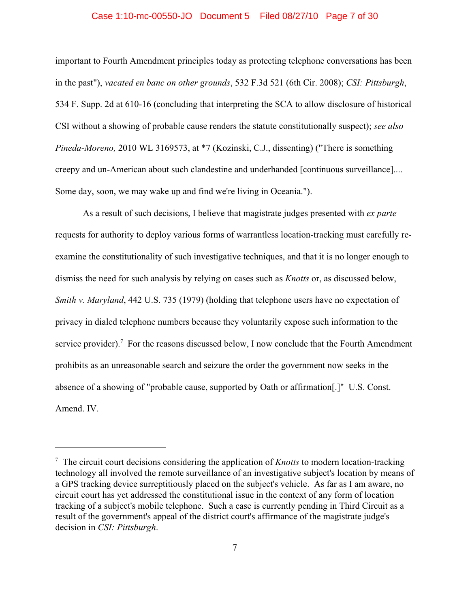#### Case 1:10-mc-00550-JO Document 5 Filed 08/27/10 Page 7 of 30

important to Fourth Amendment principles today as protecting telephone conversations has been in the past"), *vacated en banc on other grounds*, 532 F.3d 521 (6th Cir. 2008); *CSI: Pittsburgh*, 534 F. Supp. 2d at 610-16 (concluding that interpreting the SCA to allow disclosure of historical CSI without a showing of probable cause renders the statute constitutionally suspect); *see also Pineda-Moreno,* 2010 WL 3169573, at \*7 (Kozinski, C.J., dissenting) ("There is something creepy and un-American about such clandestine and underhanded [continuous surveillance].... Some day, soon, we may wake up and find we're living in Oceania.").

As a result of such decisions, I believe that magistrate judges presented with *ex parte* requests for authority to deploy various forms of warrantless location-tracking must carefully reexamine the constitutionality of such investigative techniques, and that it is no longer enough to dismiss the need for such analysis by relying on cases such as *Knotts* or, as discussed below, *Smith v. Maryland*, 442 U.S. 735 (1979) (holding that telephone users have no expectation of privacy in dialed telephone numbers because they voluntarily expose such information to the service provider).<sup>7</sup> For the reasons discussed below, I now conclude that the Fourth Amendment prohibits as an unreasonable search and seizure the order the government now seeks in the absence of a showing of "probable cause, supported by Oath or affirmation[.]" U.S. Const. Amend. IV.

<sup>&</sup>lt;sup>7</sup> The circuit court decisions considering the application of *Knotts* to modern location-tracking technology all involved the remote surveillance of an investigative subject's location by means of a GPS tracking device surreptitiously placed on the subject's vehicle. As far as I am aware, no circuit court has yet addressed the constitutional issue in the context of any form of location tracking of a subject's mobile telephone. Such a case is currently pending in Third Circuit as a result of the government's appeal of the district court's affirmance of the magistrate judge's decision in *CSI: Pittsburgh*.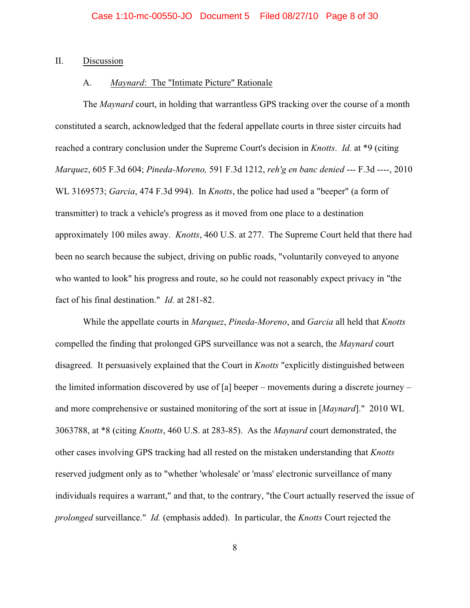#### II. Discussion

# A. *Maynard*: The "Intimate Picture" Rationale

The *Maynard* court, in holding that warrantless GPS tracking over the course of a month constituted a search, acknowledged that the federal appellate courts in three sister circuits had reached a contrary conclusion under the Supreme Court's decision in *Knotts*. *Id.* at \*9 (citing *Marquez*, 605 F.3d 604; *Pineda-Moreno,* 591 F.3d 1212, *reh'g en banc denied* --- F.3d ----, 2010 WL 3169573; *Garcia*, 474 F.3d 994). In *Knotts*, the police had used a "beeper" (a form of transmitter) to track a vehicle's progress as it moved from one place to a destination approximately 100 miles away. *Knotts*, 460 U.S. at 277. The Supreme Court held that there had been no search because the subject, driving on public roads, "voluntarily conveyed to anyone who wanted to look" his progress and route, so he could not reasonably expect privacy in "the fact of his final destination." *Id.* at 281-82.

While the appellate courts in *Marquez*, *Pineda-Moreno*, and *Garcia* all held that *Knotts* compelled the finding that prolonged GPS surveillance was not a search, the *Maynard* court disagreed. It persuasively explained that the Court in *Knotts* "explicitly distinguished between the limited information discovered by use of [a] beeper – movements during a discrete journey – and more comprehensive or sustained monitoring of the sort at issue in [*Maynard*]." 2010 WL 3063788, at \*8 (citing *Knotts*, 460 U.S. at 283-85). As the *Maynard* court demonstrated, the other cases involving GPS tracking had all rested on the mistaken understanding that *Knotts* reserved judgment only as to "whether 'wholesale' or 'mass' electronic surveillance of many individuals requires a warrant," and that, to the contrary, "the Court actually reserved the issue of *prolonged* surveillance." *Id.* (emphasis added). In particular, the *Knotts* Court rejected the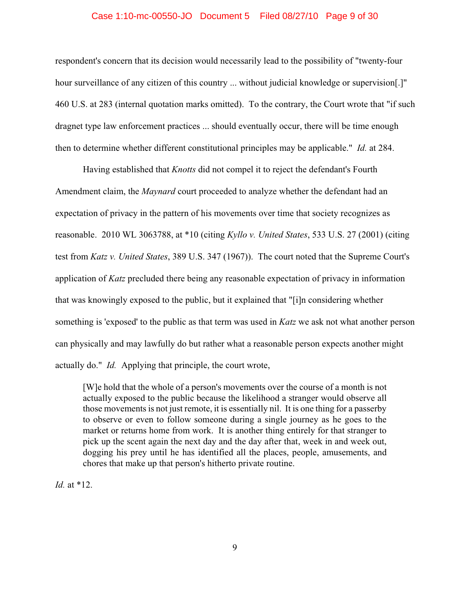# Case 1:10-mc-00550-JO Document 5 Filed 08/27/10 Page 9 of 30

respondent's concern that its decision would necessarily lead to the possibility of "twenty-four hour surveillance of any citizen of this country ... without judicial knowledge or supervision. 460 U.S. at 283 (internal quotation marks omitted). To the contrary, the Court wrote that "if such dragnet type law enforcement practices ... should eventually occur, there will be time enough then to determine whether different constitutional principles may be applicable." *Id.* at 284.

Having established that *Knotts* did not compel it to reject the defendant's Fourth Amendment claim, the *Maynard* court proceeded to analyze whether the defendant had an expectation of privacy in the pattern of his movements over time that society recognizes as reasonable. 2010 WL 3063788, at \*10 (citing *Kyllo v. United States*, 533 U.S. 27 (2001) (citing test from *Katz v. United States*, 389 U.S. 347 (1967)). The court noted that the Supreme Court's application of *Katz* precluded there being any reasonable expectation of privacy in information that was knowingly exposed to the public, but it explained that "[i]n considering whether something is 'exposed' to the public as that term was used in *Katz* we ask not what another person can physically and may lawfully do but rather what a reasonable person expects another might actually do." *Id.* Applying that principle, the court wrote,

[W]e hold that the whole of a person's movements over the course of a month is not actually exposed to the public because the likelihood a stranger would observe all those movements is not just remote, it is essentially nil. It is one thing for a passerby to observe or even to follow someone during a single journey as he goes to the market or returns home from work. It is another thing entirely for that stranger to pick up the scent again the next day and the day after that, week in and week out, dogging his prey until he has identified all the places, people, amusements, and chores that make up that person's hitherto private routine.

*Id.* at \*12.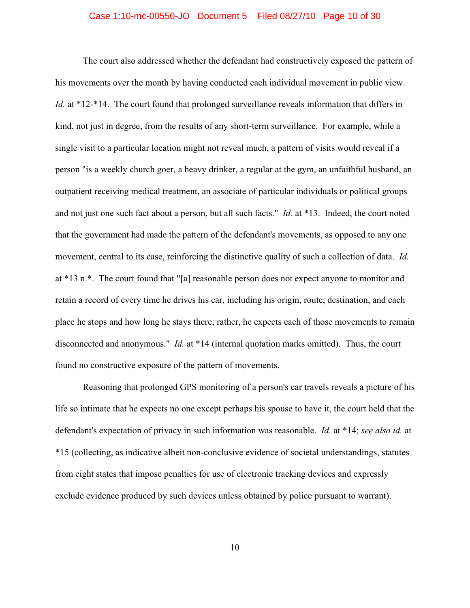### Case 1:10-mc-00550-JO Document 5 Filed 08/27/10 Page 10 of 30

The court also addressed whether the defendant had constructively exposed the pattern of his movements over the month by having conducted each individual movement in public view. *Id.* at \*12-\*14. The court found that prolonged surveillance reveals information that differs in kind, not just in degree, from the results of any short-term surveillance. For example, while a single visit to a particular location might not reveal much, a pattern of visits would reveal if a person "is a weekly church goer, a heavy drinker, a regular at the gym, an unfaithful husband, an outpatient receiving medical treatment, an associate of particular individuals or political groups – and not just one such fact about a person, but all such facts." *Id.* at \*13. Indeed, the court noted that the government had made the pattern of the defendant's movements, as opposed to any one movement, central to its case, reinforcing the distinctive quality of such a collection of data. *Id.* at \*13 n.\*. The court found that "[a] reasonable person does not expect anyone to monitor and retain a record of every time he drives his car, including his origin, route, destination, and each place he stops and how long he stays there; rather, he expects each of those movements to remain disconnected and anonymous." *Id.* at \*14 (internal quotation marks omitted). Thus, the court found no constructive exposure of the pattern of movements.

Reasoning that prolonged GPS monitoring of a person's car travels reveals a picture of his life so intimate that he expects no one except perhaps his spouse to have it, the court held that the defendant's expectation of privacy in such information was reasonable. *Id.* at \*14; *see also id.* at \*15 (collecting, as indicative albeit non-conclusive evidence of societal understandings, statutes from eight states that impose penalties for use of electronic tracking devices and expressly exclude evidence produced by such devices unless obtained by police pursuant to warrant).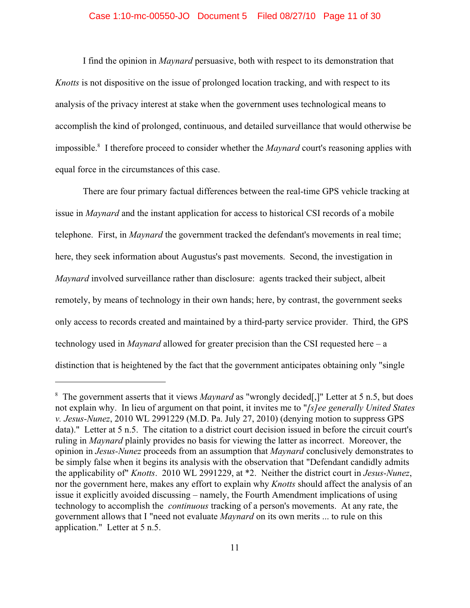## Case 1:10-mc-00550-JO Document 5 Filed 08/27/10 Page 11 of 30

I find the opinion in *Maynard* persuasive, both with respect to its demonstration that *Knotts* is not dispositive on the issue of prolonged location tracking, and with respect to its analysis of the privacy interest at stake when the government uses technological means to accomplish the kind of prolonged, continuous, and detailed surveillance that would otherwise be impossible.<sup>8</sup> I therefore proceed to consider whether the *Maynard* court's reasoning applies with equal force in the circumstances of this case.

There are four primary factual differences between the real-time GPS vehicle tracking at issue in *Maynard* and the instant application for access to historical CSI records of a mobile telephone. First, in *Maynard* the government tracked the defendant's movements in real time; here, they seek information about Augustus's past movements. Second, the investigation in *Maynard* involved surveillance rather than disclosure: agents tracked their subject, albeit remotely, by means of technology in their own hands; here, by contrast, the government seeks only access to records created and maintained by a third-party service provider. Third, the GPS technology used in *Maynard* allowed for greater precision than the CSI requested here – a distinction that is heightened by the fact that the government anticipates obtaining only "single

<sup>&</sup>lt;sup>8</sup> The government asserts that it views *Maynard* as "wrongly decided[,]" Letter at 5 n.5, but does not explain why. In lieu of argument on that point, it invites me to "*[s]ee generally United States v. Jesus-Nunez*, 2010 WL 2991229 (M.D. Pa. July 27, 2010) (denying motion to suppress GPS data)." Letter at 5 n.5. The citation to a district court decision issued in before the circuit court's ruling in *Maynard* plainly provides no basis for viewing the latter as incorrect. Moreover, the opinion in *Jesus-Nunez* proceeds from an assumption that *Maynard* conclusively demonstrates to be simply false when it begins its analysis with the observation that "Defendant candidly admits the applicability of" *Knotts*. 2010 WL 2991229, at \*2. Neither the district court in *Jesus-Nunez*, nor the government here, makes any effort to explain why *Knotts* should affect the analysis of an issue it explicitly avoided discussing – namely, the Fourth Amendment implications of using technology to accomplish the *continuous* tracking of a person's movements. At any rate, the government allows that I "need not evaluate *Maynard* on its own merits ... to rule on this application." Letter at 5 n.5.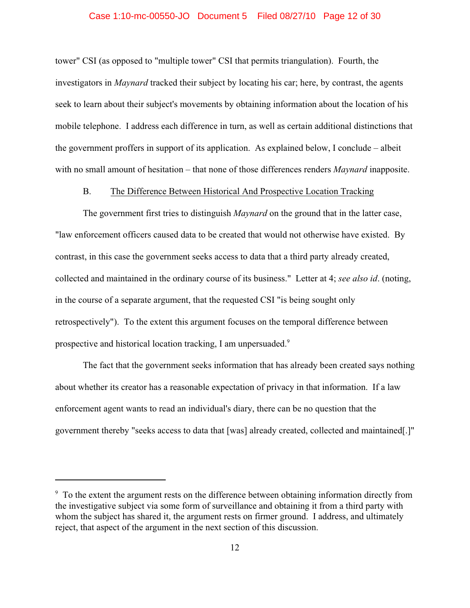## Case 1:10-mc-00550-JO Document 5 Filed 08/27/10 Page 12 of 30

tower" CSI (as opposed to "multiple tower" CSI that permits triangulation). Fourth, the investigators in *Maynard* tracked their subject by locating his car; here, by contrast, the agents seek to learn about their subject's movements by obtaining information about the location of his mobile telephone. I address each difference in turn, as well as certain additional distinctions that the government proffers in support of its application. As explained below, I conclude – albeit with no small amount of hesitation – that none of those differences renders *Maynard* inapposite.

# B. The Difference Between Historical And Prospective Location Tracking

The government first tries to distinguish *Maynard* on the ground that in the latter case, "law enforcement officers caused data to be created that would not otherwise have existed. By contrast, in this case the government seeks access to data that a third party already created, collected and maintained in the ordinary course of its business." Letter at 4; *see also id*. (noting, in the course of a separate argument, that the requested CSI "is being sought only retrospectively"). To the extent this argument focuses on the temporal difference between prospective and historical location tracking, I am unpersuaded.<sup>9</sup>

The fact that the government seeks information that has already been created says nothing about whether its creator has a reasonable expectation of privacy in that information. If a law enforcement agent wants to read an individual's diary, there can be no question that the government thereby "seeks access to data that [was] already created, collected and maintained[.]"

<sup>&</sup>lt;sup>9</sup> To the extent the argument rests on the difference between obtaining information directly from the investigative subject via some form of surveillance and obtaining it from a third party with whom the subject has shared it, the argument rests on firmer ground. I address, and ultimately reject, that aspect of the argument in the next section of this discussion.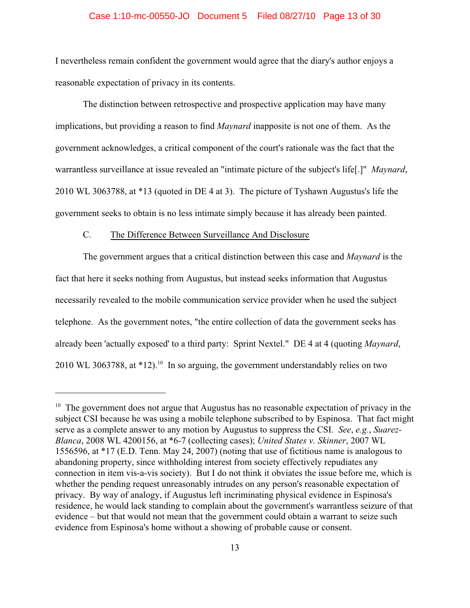## Case 1:10-mc-00550-JO Document 5 Filed 08/27/10 Page 13 of 30

I nevertheless remain confident the government would agree that the diary's author enjoys a reasonable expectation of privacy in its contents.

The distinction between retrospective and prospective application may have many implications, but providing a reason to find *Maynard* inapposite is not one of them. As the government acknowledges, a critical component of the court's rationale was the fact that the warrantless surveillance at issue revealed an "intimate picture of the subject's life[.]" *Maynard*, 2010 WL 3063788, at \*13 (quoted in DE 4 at 3). The picture of Tyshawn Augustus's life the government seeks to obtain is no less intimate simply because it has already been painted.

# C. The Difference Between Surveillance And Disclosure

The government argues that a critical distinction between this case and *Maynard* is the fact that here it seeks nothing from Augustus, but instead seeks information that Augustus necessarily revealed to the mobile communication service provider when he used the subject telephone. As the government notes, "the entire collection of data the government seeks has already been 'actually exposed' to a third party: Sprint Nextel." DE 4 at 4 (quoting *Maynard*, 2010 WL 3063788, at  $*12$ <sup>10</sup> In so arguing, the government understandably relies on two

 $10$  The government does not argue that Augustus has no reasonable expectation of privacy in the subject CSI because he was using a mobile telephone subscribed to by Espinosa. That fact might serve as a complete answer to any motion by Augustus to suppress the CSI. *See*, *e.g.*, *Suarez-Blanca*, 2008 WL 4200156, at \*6-7 (collecting cases); *United States v. Skinner*, 2007 WL 1556596, at \*17 (E.D. Tenn. May 24, 2007) (noting that use of fictitious name is analogous to abandoning property, since withholding interest from society effectively repudiates any connection in item vis-a-vis society). But I do not think it obviates the issue before me, which is whether the pending request unreasonably intrudes on any person's reasonable expectation of privacy. By way of analogy, if Augustus left incriminating physical evidence in Espinosa's residence, he would lack standing to complain about the government's warrantless seizure of that evidence – but that would not mean that the government could obtain a warrant to seize such evidence from Espinosa's home without a showing of probable cause or consent.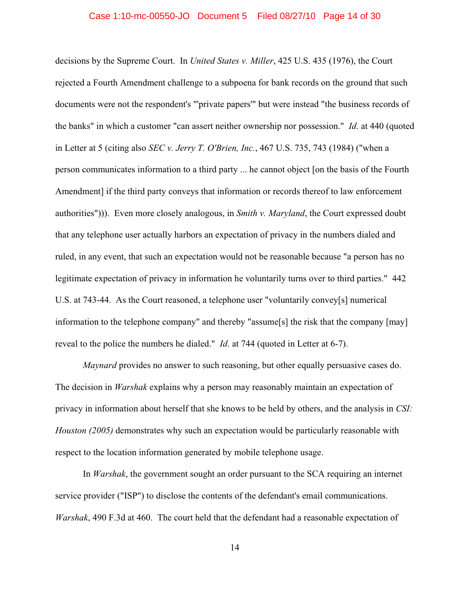#### Case 1:10-mc-00550-JO Document 5 Filed 08/27/10 Page 14 of 30

decisions by the Supreme Court. In *United States v. Miller*, 425 U.S. 435 (1976), the Court rejected a Fourth Amendment challenge to a subpoena for bank records on the ground that such documents were not the respondent's "'private papers'" but were instead "the business records of the banks" in which a customer "can assert neither ownership nor possession." *Id*. at 440 (quoted in Letter at 5 (citing also *SEC v. Jerry T. O'Brien, Inc.*, 467 U.S. 735, 743 (1984) ("when a person communicates information to a third party ... he cannot object [on the basis of the Fourth Amendment] if the third party conveys that information or records thereof to law enforcement authorities"))). Even more closely analogous, in *Smith v. Maryland*, the Court expressed doubt that any telephone user actually harbors an expectation of privacy in the numbers dialed and ruled, in any event, that such an expectation would not be reasonable because "a person has no legitimate expectation of privacy in information he voluntarily turns over to third parties." 442 U.S. at 743-44. As the Court reasoned, a telephone user "voluntarily convey[s] numerical information to the telephone company" and thereby "assume[s] the risk that the company [may] reveal to the police the numbers he dialed." *Id*. at 744 (quoted in Letter at 6-7).

*Maynard* provides no answer to such reasoning, but other equally persuasive cases do. The decision in *Warshak* explains why a person may reasonably maintain an expectation of privacy in information about herself that she knows to be held by others, and the analysis in *CSI: Houston (2005)* demonstrates why such an expectation would be particularly reasonable with respect to the location information generated by mobile telephone usage.

In *Warshak*, the government sought an order pursuant to the SCA requiring an internet service provider ("ISP") to disclose the contents of the defendant's email communications. *Warshak*, 490 F.3d at 460. The court held that the defendant had a reasonable expectation of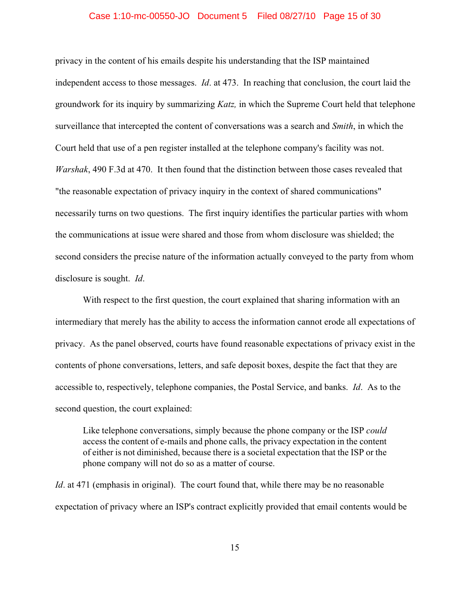#### Case 1:10-mc-00550-JO Document 5 Filed 08/27/10 Page 15 of 30

privacy in the content of his emails despite his understanding that the ISP maintained independent access to those messages. *Id*. at 473. In reaching that conclusion, the court laid the groundwork for its inquiry by summarizing *Katz,* in which the Supreme Court held that telephone surveillance that intercepted the content of conversations was a search and *Smith*, in which the Court held that use of a pen register installed at the telephone company's facility was not. *Warshak*, 490 F.3d at 470. It then found that the distinction between those cases revealed that "the reasonable expectation of privacy inquiry in the context of shared communications" necessarily turns on two questions. The first inquiry identifies the particular parties with whom the communications at issue were shared and those from whom disclosure was shielded; the second considers the precise nature of the information actually conveyed to the party from whom disclosure is sought. *Id*.

With respect to the first question, the court explained that sharing information with an intermediary that merely has the ability to access the information cannot erode all expectations of privacy. As the panel observed, courts have found reasonable expectations of privacy exist in the contents of phone conversations, letters, and safe deposit boxes, despite the fact that they are accessible to, respectively, telephone companies, the Postal Service, and banks. *Id*. As to the second question, the court explained:

Like telephone conversations, simply because the phone company or the ISP *could* access the content of e-mails and phone calls, the privacy expectation in the content of either is not diminished, because there is a societal expectation that the ISP or the phone company will not do so as a matter of course.

*Id.* at 471 (emphasis in original). The court found that, while there may be no reasonable expectation of privacy where an ISP's contract explicitly provided that email contents would be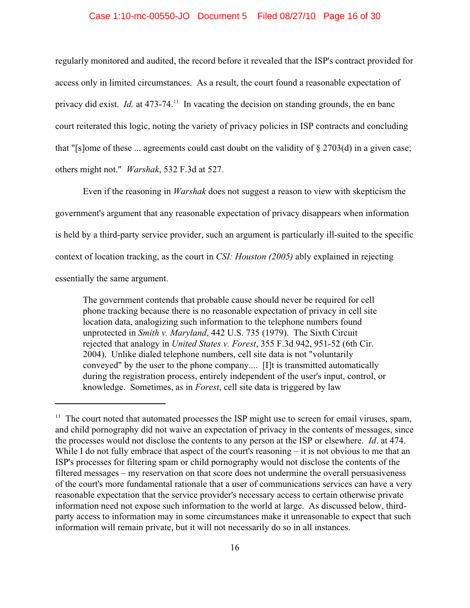## Case 1:10-mc-00550-JO Document 5 Filed 08/27/10 Page 16 of 30

regularly monitored and audited, the record before it revealed that the ISP's contract provided for access only in limited circumstances. As a result, the court found a reasonable expectation of privacy did exist. *Id.* at 473-74.<sup>11</sup> In vacating the decision on standing grounds, the en banc court reiterated this logic, noting the variety of privacy policies in ISP contracts and concluding that "[s]ome of these ... agreements could cast doubt on the validity of § 2703(d) in a given case; others might not." *Warshak*, 532 F.3d at 527.

Even if the reasoning in *Warshak* does not suggest a reason to view with skepticism the government's argument that any reasonable expectation of privacy disappears when information is held by a third-party service provider, such an argument is particularly ill-suited to the specific context of location tracking, as the court in *CSI: Houston (2005)* ably explained in rejecting essentially the same argument.

The government contends that probable cause should never be required for cell phone tracking because there is no reasonable expectation of privacy in cell site location data, analogizing such information to the telephone numbers found unprotected in *Smith v. Maryland*, 442 U.S. 735 (1979). The Sixth Circuit rejected that analogy in *United States v. Forest*, 355 F.3d 942, 951-52 (6th Cir. 2004). Unlike dialed telephone numbers, cell site data is not "voluntarily conveyed" by the user to the phone company.... [I]t is transmitted automatically during the registration process, entirely independent of the user's input, control, or knowledge. Sometimes, as in *Forest*, cell site data is triggered by law

 $11$  The court noted that automated processes the ISP might use to screen for email viruses, spam, and child pornography did not waive an expectation of privacy in the contents of messages, since the processes would not disclose the contents to any person at the ISP or elsewhere. *Id*. at 474. While I do not fully embrace that aspect of the court's reasoning – it is not obvious to me that an ISP's processes for filtering spam or child pornography would not disclose the contents of the filtered messages – my reservation on that score does not undermine the overall persuasiveness of the court's more fundamental rationale that a user of communications services can have a very reasonable expectation that the service provider's necessary access to certain otherwise private information need not expose such information to the world at large. As discussed below, thirdparty access to information may in some circumstances make it unreasonable to expect that such information will remain private, but it will not necessarily do so in all instances.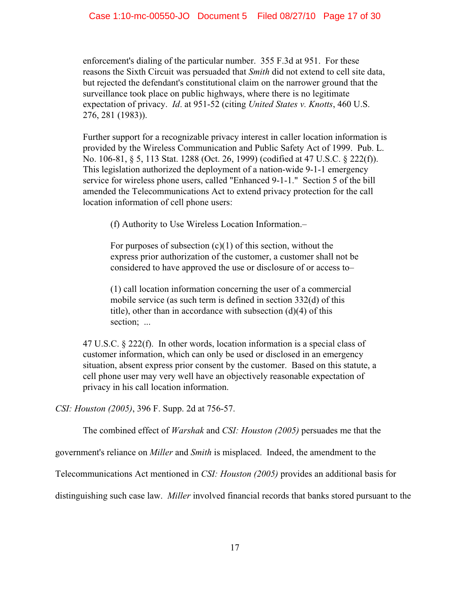enforcement's dialing of the particular number. 355 F.3d at 951. For these reasons the Sixth Circuit was persuaded that *Smith* did not extend to cell site data, but rejected the defendant's constitutional claim on the narrower ground that the surveillance took place on public highways, where there is no legitimate expectation of privacy. *Id*. at 951-52 (citing *United States v. Knotts*, 460 U.S. 276, 281 (1983)).

Further support for a recognizable privacy interest in caller location information is provided by the Wireless Communication and Public Safety Act of 1999. Pub. L. No. 106-81, § 5, 113 Stat. 1288 (Oct. 26, 1999) (codified at 47 U.S.C. § 222(f)). This legislation authorized the deployment of a nation-wide 9-1-1 emergency service for wireless phone users, called "Enhanced 9-1-1." Section 5 of the bill amended the Telecommunications Act to extend privacy protection for the call location information of cell phone users:

(f) Authority to Use Wireless Location Information.–

For purposes of subsection  $(c)(1)$  of this section, without the express prior authorization of the customer, a customer shall not be considered to have approved the use or disclosure of or access to–

(1) call location information concerning the user of a commercial mobile service (as such term is defined in section 332(d) of this title), other than in accordance with subsection (d)(4) of this section: ...

47 U.S.C. § 222(f). In other words, location information is a special class of customer information, which can only be used or disclosed in an emergency situation, absent express prior consent by the customer. Based on this statute, a cell phone user may very well have an objectively reasonable expectation of privacy in his call location information.

*CSI: Houston (2005)*, 396 F. Supp. 2d at 756-57.

The combined effect of *Warshak* and *CSI: Houston (2005)* persuades me that the

government's reliance on *Miller* and *Smith* is misplaced. Indeed, the amendment to the

Telecommunications Act mentioned in *CSI: Houston (2005)* provides an additional basis for

distinguishing such case law. *Miller* involved financial records that banks stored pursuant to the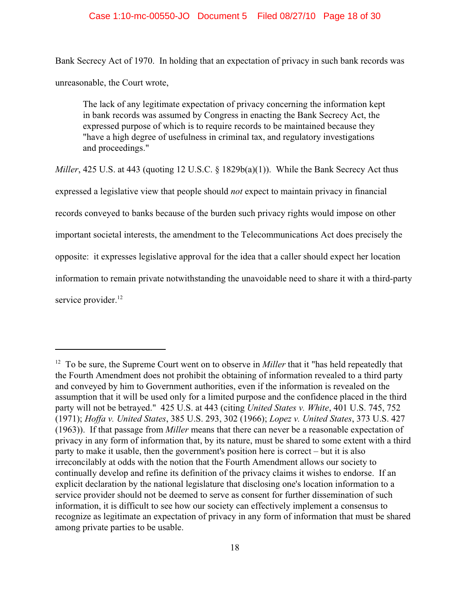# Case 1:10-mc-00550-JO Document 5 Filed 08/27/10 Page 18 of 30

Bank Secrecy Act of 1970. In holding that an expectation of privacy in such bank records was unreasonable, the Court wrote,

The lack of any legitimate expectation of privacy concerning the information kept in bank records was assumed by Congress in enacting the Bank Secrecy Act, the expressed purpose of which is to require records to be maintained because they "have a high degree of usefulness in criminal tax, and regulatory investigations and proceedings."

*Miller*, 425 U.S. at 443 (quoting 12 U.S.C. § 1829b(a)(1)). While the Bank Secrecy Act thus

expressed a legislative view that people should *not* expect to maintain privacy in financial

records conveyed to banks because of the burden such privacy rights would impose on other

important societal interests, the amendment to the Telecommunications Act does precisely the

opposite: it expresses legislative approval for the idea that a caller should expect her location

information to remain private notwithstanding the unavoidable need to share it with a third-party

service provider.<sup>12</sup>

<sup>&</sup>lt;sup>12</sup> To be sure, the Supreme Court went on to observe in *Miller* that it "has held repeatedly that the Fourth Amendment does not prohibit the obtaining of information revealed to a third party and conveyed by him to Government authorities, even if the information is revealed on the assumption that it will be used only for a limited purpose and the confidence placed in the third party will not be betrayed." 425 U.S. at 443 (citing *United States v. White*, 401 U.S. 745, 752 (1971); *Hoffa v. United States*, 385 U.S. 293, 302 (1966); *Lopez v. United States*, 373 U.S. 427 (1963)). If that passage from *Miller* means that there can never be a reasonable expectation of privacy in any form of information that, by its nature, must be shared to some extent with a third party to make it usable, then the government's position here is correct – but it is also irreconcilably at odds with the notion that the Fourth Amendment allows our society to continually develop and refine its definition of the privacy claims it wishes to endorse. If an explicit declaration by the national legislature that disclosing one's location information to a service provider should not be deemed to serve as consent for further dissemination of such information, it is difficult to see how our society can effectively implement a consensus to recognize as legitimate an expectation of privacy in any form of information that must be shared among private parties to be usable.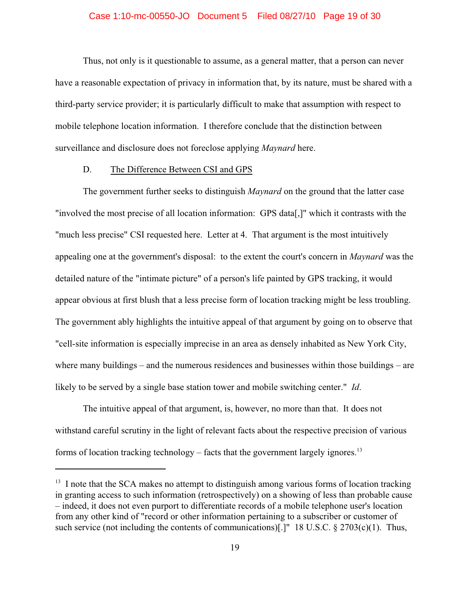#### Case 1:10-mc-00550-JO Document 5 Filed 08/27/10 Page 19 of 30

Thus, not only is it questionable to assume, as a general matter, that a person can never have a reasonable expectation of privacy in information that, by its nature, must be shared with a third-party service provider; it is particularly difficult to make that assumption with respect to mobile telephone location information. I therefore conclude that the distinction between surveillance and disclosure does not foreclose applying *Maynard* here.

# D. The Difference Between CSI and GPS

The government further seeks to distinguish *Maynard* on the ground that the latter case "involved the most precise of all location information: GPS data[,]" which it contrasts with the "much less precise" CSI requested here. Letter at 4. That argument is the most intuitively appealing one at the government's disposal: to the extent the court's concern in *Maynard* was the detailed nature of the "intimate picture" of a person's life painted by GPS tracking, it would appear obvious at first blush that a less precise form of location tracking might be less troubling. The government ably highlights the intuitive appeal of that argument by going on to observe that "cell-site information is especially imprecise in an area as densely inhabited as New York City, where many buildings – and the numerous residences and businesses within those buildings – are likely to be served by a single base station tower and mobile switching center." *Id*.

The intuitive appeal of that argument, is, however, no more than that. It does not withstand careful scrutiny in the light of relevant facts about the respective precision of various forms of location tracking technology – facts that the government largely ignores.<sup>13</sup>

 $13$  I note that the SCA makes no attempt to distinguish among various forms of location tracking in granting access to such information (retrospectively) on a showing of less than probable cause – indeed, it does not even purport to differentiate records of a mobile telephone user's location from any other kind of "record or other information pertaining to a subscriber or customer of such service (not including the contents of communications)[.]" 18 U.S.C.  $\S 2703(c)(1)$ . Thus,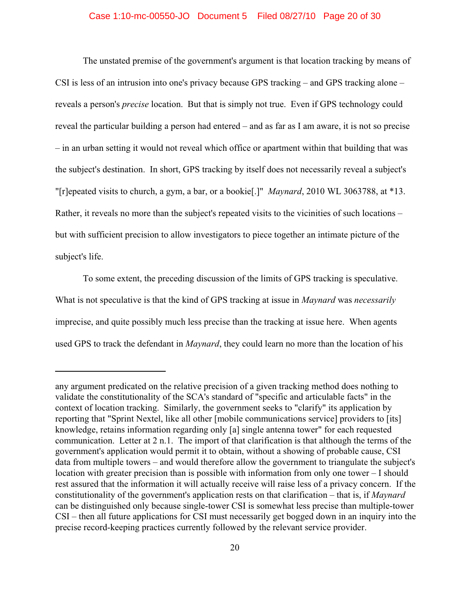# Case 1:10-mc-00550-JO Document 5 Filed 08/27/10 Page 20 of 30

The unstated premise of the government's argument is that location tracking by means of CSI is less of an intrusion into one's privacy because GPS tracking – and GPS tracking alone – reveals a person's *precise* location. But that is simply not true. Even if GPS technology could reveal the particular building a person had entered – and as far as I am aware, it is not so precise – in an urban setting it would not reveal which office or apartment within that building that was the subject's destination. In short, GPS tracking by itself does not necessarily reveal a subject's "[r]epeated visits to church, a gym, a bar, or a bookie[.]" *Maynard*, 2010 WL 3063788, at \*13. Rather, it reveals no more than the subject's repeated visits to the vicinities of such locations – but with sufficient precision to allow investigators to piece together an intimate picture of the subject's life.

To some extent, the preceding discussion of the limits of GPS tracking is speculative. What is not speculative is that the kind of GPS tracking at issue in *Maynard* was *necessarily* imprecise, and quite possibly much less precise than the tracking at issue here. When agents used GPS to track the defendant in *Maynard*, they could learn no more than the location of his

any argument predicated on the relative precision of a given tracking method does nothing to validate the constitutionality of the SCA's standard of "specific and articulable facts" in the context of location tracking. Similarly, the government seeks to "clarify" its application by reporting that "Sprint Nextel, like all other [mobile communications service] providers to [its] knowledge, retains information regarding only [a] single antenna tower" for each requested communication. Letter at 2 n.1. The import of that clarification is that although the terms of the government's application would permit it to obtain, without a showing of probable cause, CSI data from multiple towers – and would therefore allow the government to triangulate the subject's location with greater precision than is possible with information from only one tower – I should rest assured that the information it will actually receive will raise less of a privacy concern. If the constitutionality of the government's application rests on that clarification – that is, if *Maynard* can be distinguished only because single-tower CSI is somewhat less precise than multiple-tower CSI – then all future applications for CSI must necessarily get bogged down in an inquiry into the precise record-keeping practices currently followed by the relevant service provider.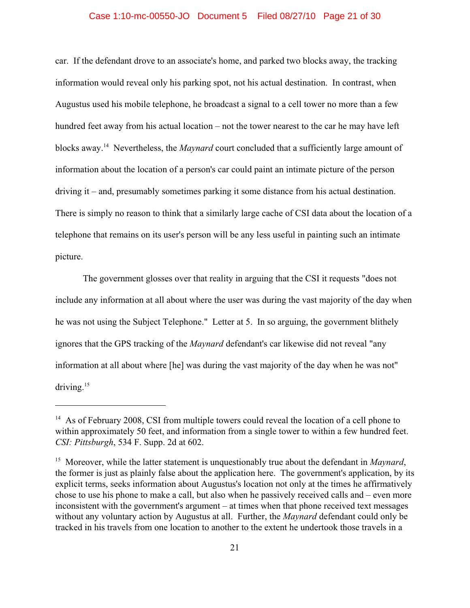# Case 1:10-mc-00550-JO Document 5 Filed 08/27/10 Page 21 of 30

car. If the defendant drove to an associate's home, and parked two blocks away, the tracking information would reveal only his parking spot, not his actual destination. In contrast, when Augustus used his mobile telephone, he broadcast a signal to a cell tower no more than a few hundred feet away from his actual location – not the tower nearest to the car he may have left blocks away.<sup>14</sup> Nevertheless, the *Maynard* court concluded that a sufficiently large amount of information about the location of a person's car could paint an intimate picture of the person driving it – and, presumably sometimes parking it some distance from his actual destination. There is simply no reason to think that a similarly large cache of CSI data about the location of a telephone that remains on its user's person will be any less useful in painting such an intimate picture.

The government glosses over that reality in arguing that the CSI it requests "does not include any information at all about where the user was during the vast majority of the day when he was not using the Subject Telephone." Letter at 5. In so arguing, the government blithely ignores that the GPS tracking of the *Maynard* defendant's car likewise did not reveal "any information at all about where [he] was during the vast majority of the day when he was not" driving. $15$ 

 $^{14}$  As of February 2008, CSI from multiple towers could reveal the location of a cell phone to within approximately 50 feet, and information from a single tower to within a few hundred feet. *CSI: Pittsburgh*, 534 F. Supp. 2d at 602.

<sup>&</sup>lt;sup>15</sup> Moreover, while the latter statement is unquestionably true about the defendant in *Maynard*, the former is just as plainly false about the application here. The government's application, by its explicit terms, seeks information about Augustus's location not only at the times he affirmatively chose to use his phone to make a call, but also when he passively received calls and – even more inconsistent with the government's argument – at times when that phone received text messages without any voluntary action by Augustus at all. Further, the *Maynard* defendant could only be tracked in his travels from one location to another to the extent he undertook those travels in a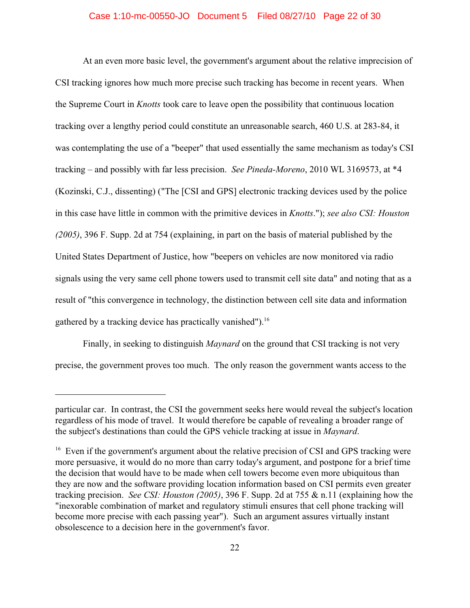# Case 1:10-mc-00550-JO Document 5 Filed 08/27/10 Page 22 of 30

At an even more basic level, the government's argument about the relative imprecision of CSI tracking ignores how much more precise such tracking has become in recent years. When the Supreme Court in *Knotts* took care to leave open the possibility that continuous location tracking over a lengthy period could constitute an unreasonable search, 460 U.S. at 283-84, it was contemplating the use of a "beeper" that used essentially the same mechanism as today's CSI tracking – and possibly with far less precision. *See Pineda-Moreno*, 2010 WL 3169573, at \*4 (Kozinski, C.J., dissenting) ("The [CSI and GPS] electronic tracking devices used by the police in this case have little in common with the primitive devices in *Knotts*."); *see also CSI: Houston (2005)*, 396 F. Supp. 2d at 754 (explaining, in part on the basis of material published by the United States Department of Justice, how "beepers on vehicles are now monitored via radio signals using the very same cell phone towers used to transmit cell site data" and noting that as a result of "this convergence in technology, the distinction between cell site data and information gathered by a tracking device has practically vanished").<sup>16</sup>

Finally, in seeking to distinguish *Maynard* on the ground that CSI tracking is not very precise, the government proves too much. The only reason the government wants access to the

particular car. In contrast, the CSI the government seeks here would reveal the subject's location regardless of his mode of travel. It would therefore be capable of revealing a broader range of the subject's destinations than could the GPS vehicle tracking at issue in *Maynard*.

 $16$  Even if the government's argument about the relative precision of CSI and GPS tracking were more persuasive, it would do no more than carry today's argument, and postpone for a brief time the decision that would have to be made when cell towers become even more ubiquitous than they are now and the software providing location information based on CSI permits even greater tracking precision. *See CSI: Houston (2005)*, 396 F. Supp. 2d at 755 & n.11 (explaining how the "inexorable combination of market and regulatory stimuli ensures that cell phone tracking will become more precise with each passing year"). Such an argument assures virtually instant obsolescence to a decision here in the government's favor.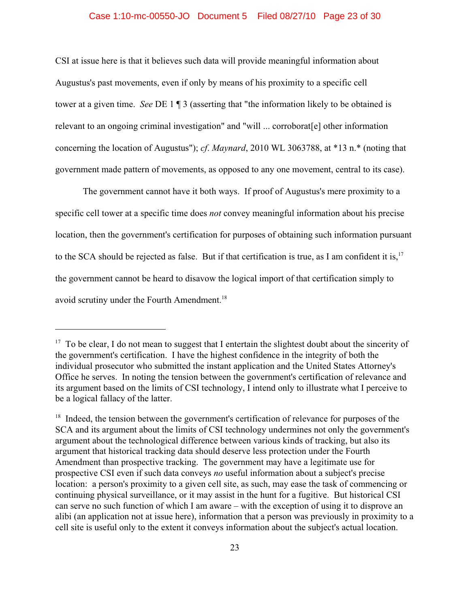# Case 1:10-mc-00550-JO Document 5 Filed 08/27/10 Page 23 of 30

CSI at issue here is that it believes such data will provide meaningful information about Augustus's past movements, even if only by means of his proximity to a specific cell tower at a given time. *See* DE 1 ¶ 3 (asserting that "the information likely to be obtained is relevant to an ongoing criminal investigation" and "will ... corroborat[e] other information concerning the location of Augustus"); *cf*. *Maynard*, 2010 WL 3063788, at \*13 n.\* (noting that government made pattern of movements, as opposed to any one movement, central to its case).

The government cannot have it both ways. If proof of Augustus's mere proximity to a specific cell tower at a specific time does *not* convey meaningful information about his precise location, then the government's certification for purposes of obtaining such information pursuant to the SCA should be rejected as false. But if that certification is true, as I am confident it is,<sup>17</sup> the government cannot be heard to disavow the logical import of that certification simply to avoid scrutiny under the Fourth Amendment.<sup>18</sup>

 $17$  To be clear, I do not mean to suggest that I entertain the slightest doubt about the sincerity of the government's certification. I have the highest confidence in the integrity of both the individual prosecutor who submitted the instant application and the United States Attorney's Office he serves. In noting the tension between the government's certification of relevance and its argument based on the limits of CSI technology, I intend only to illustrate what I perceive to be a logical fallacy of the latter.

 $18$  Indeed, the tension between the government's certification of relevance for purposes of the SCA and its argument about the limits of CSI technology undermines not only the government's argument about the technological difference between various kinds of tracking, but also its argument that historical tracking data should deserve less protection under the Fourth Amendment than prospective tracking. The government may have a legitimate use for prospective CSI even if such data conveys *no* useful information about a subject's precise location: a person's proximity to a given cell site, as such, may ease the task of commencing or continuing physical surveillance, or it may assist in the hunt for a fugitive. But historical CSI can serve no such function of which I am aware – with the exception of using it to disprove an alibi (an application not at issue here), information that a person was previously in proximity to a cell site is useful only to the extent it conveys information about the subject's actual location.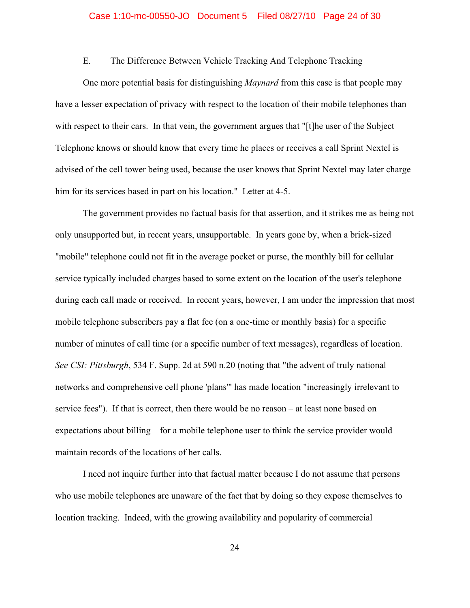### Case 1:10-mc-00550-JO Document 5 Filed 08/27/10 Page 24 of 30

# E. The Difference Between Vehicle Tracking And Telephone Tracking

One more potential basis for distinguishing *Maynard* from this case is that people may have a lesser expectation of privacy with respect to the location of their mobile telephones than with respect to their cars. In that vein, the government argues that "[t]he user of the Subject Telephone knows or should know that every time he places or receives a call Sprint Nextel is advised of the cell tower being used, because the user knows that Sprint Nextel may later charge him for its services based in part on his location." Letter at 4-5.

The government provides no factual basis for that assertion, and it strikes me as being not only unsupported but, in recent years, unsupportable. In years gone by, when a brick-sized "mobile" telephone could not fit in the average pocket or purse, the monthly bill for cellular service typically included charges based to some extent on the location of the user's telephone during each call made or received. In recent years, however, I am under the impression that most mobile telephone subscribers pay a flat fee (on a one-time or monthly basis) for a specific number of minutes of call time (or a specific number of text messages), regardless of location. *See CSI: Pittsburgh*, 534 F. Supp. 2d at 590 n.20 (noting that "the advent of truly national networks and comprehensive cell phone 'plans'" has made location "increasingly irrelevant to service fees"). If that is correct, then there would be no reason – at least none based on expectations about billing – for a mobile telephone user to think the service provider would maintain records of the locations of her calls.

I need not inquire further into that factual matter because I do not assume that persons who use mobile telephones are unaware of the fact that by doing so they expose themselves to location tracking. Indeed, with the growing availability and popularity of commercial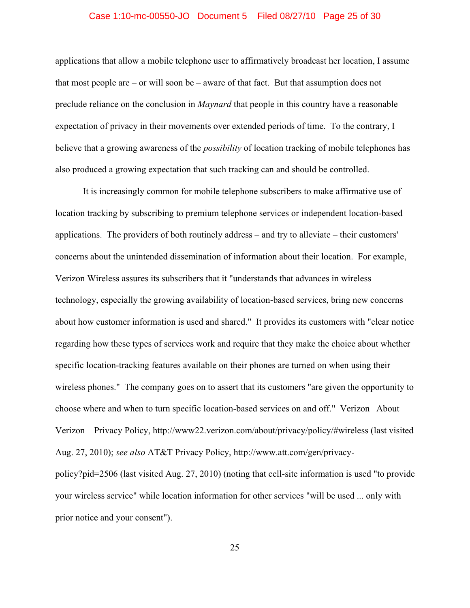## Case 1:10-mc-00550-JO Document 5 Filed 08/27/10 Page 25 of 30

applications that allow a mobile telephone user to affirmatively broadcast her location, I assume that most people are – or will soon be – aware of that fact. But that assumption does not preclude reliance on the conclusion in *Maynard* that people in this country have a reasonable expectation of privacy in their movements over extended periods of time. To the contrary, I believe that a growing awareness of the *possibility* of location tracking of mobile telephones has also produced a growing expectation that such tracking can and should be controlled.

It is increasingly common for mobile telephone subscribers to make affirmative use of location tracking by subscribing to premium telephone services or independent location-based applications. The providers of both routinely address – and try to alleviate – their customers' concerns about the unintended dissemination of information about their location. For example, Verizon Wireless assures its subscribers that it "understands that advances in wireless technology, especially the growing availability of location-based services, bring new concerns about how customer information is used and shared." It provides its customers with "clear notice regarding how these types of services work and require that they make the choice about whether specific location-tracking features available on their phones are turned on when using their wireless phones." The company goes on to assert that its customers "are given the opportunity to choose where and when to turn specific location-based services on and off." Verizon | About Verizon – Privacy Policy, http://www22.verizon.com/about/privacy/policy/#wireless (last visited Aug. 27, 2010); *see also* AT&T Privacy Policy, http://www.att.com/gen/privacypolicy?pid=2506 (last visited Aug. 27, 2010) (noting that cell-site information is used "to provide your wireless service" while location information for other services "will be used ... only with prior notice and your consent").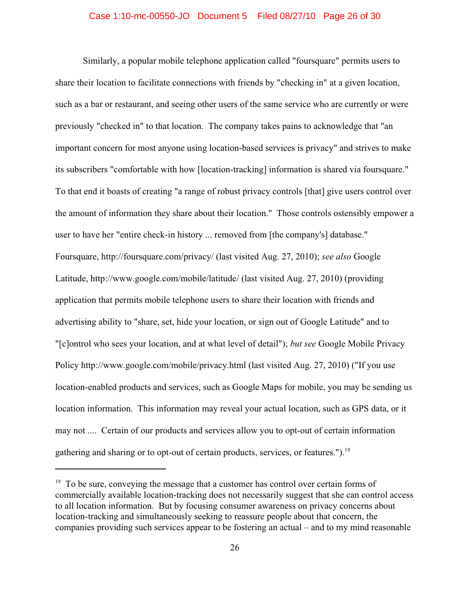## Case 1:10-mc-00550-JO Document 5 Filed 08/27/10 Page 26 of 30

Similarly, a popular mobile telephone application called "foursquare" permits users to share their location to facilitate connections with friends by "checking in" at a given location, such as a bar or restaurant, and seeing other users of the same service who are currently or were previously "checked in" to that location. The company takes pains to acknowledge that "an important concern for most anyone using location-based services is privacy" and strives to make its subscribers "comfortable with how [location-tracking] information is shared via foursquare." To that end it boasts of creating "a range of robust privacy controls [that] give users control over the amount of information they share about their location." Those controls ostensibly empower a user to have her "entire check-in history ... removed from [the company's] database." Foursquare, http://foursquare.com/privacy/ (last visited Aug. 27, 2010); *see also* Google Latitude, http://www.google.com/mobile/latitude/ (last visited Aug. 27, 2010) (providing application that permits mobile telephone users to share their location with friends and advertising ability to "share, set, hide your location, or sign out of Google Latitude" and to "[c]ontrol who sees your location, and at what level of detail"); *but see* Google Mobile Privacy Policy http://www.google.com/mobile/privacy.html (last visited Aug. 27, 2010) ("If you use location-enabled products and services, such as Google Maps for mobile, you may be sending us location information. This information may reveal your actual location, such as GPS data, or it may not .... Certain of our products and services allow you to opt-out of certain information gathering and sharing or to opt-out of certain products, services, or features.").<sup>19</sup>

 $19\text{ T}$  To be sure, conveying the message that a customer has control over certain forms of commercially available location-tracking does not necessarily suggest that she can control access to all location information. But by focusing consumer awareness on privacy concerns about location-tracking and simultaneously seeking to reassure people about that concern, the companies providing such services appear to be fostering an actual – and to my mind reasonable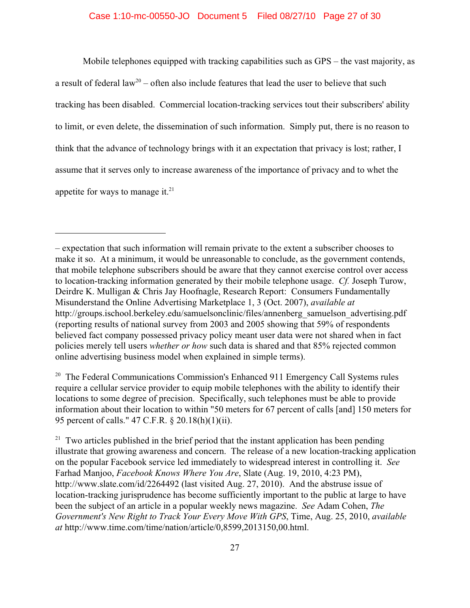# Case 1:10-mc-00550-JO Document 5 Filed 08/27/10 Page 27 of 30

Mobile telephones equipped with tracking capabilities such as GPS – the vast majority, as a result of federal law<sup>20</sup> – often also include features that lead the user to believe that such tracking has been disabled. Commercial location-tracking services tout their subscribers' ability to limit, or even delete, the dissemination of such information. Simply put, there is no reason to think that the advance of technology brings with it an expectation that privacy is lost; rather, I assume that it serves only to increase awareness of the importance of privacy and to whet the appetite for ways to manage it. $21$ 

 $20$  The Federal Communications Commission's Enhanced 911 Emergency Call Systems rules require a cellular service provider to equip mobile telephones with the ability to identify their locations to some degree of precision. Specifically, such telephones must be able to provide information about their location to within "50 meters for 67 percent of calls [and] 150 meters for 95 percent of calls." 47 C.F.R. § 20.18(h)(1)(ii).

 $21$  Two articles published in the brief period that the instant application has been pending illustrate that growing awareness and concern. The release of a new location-tracking application on the popular Facebook service led immediately to widespread interest in controlling it. *See* Farhad Manjoo, *Facebook Knows Where You Are*, Slate (Aug. 19, 2010, 4:23 PM), http://www.slate.com/id/2264492 (last visited Aug. 27, 2010). And the abstruse issue of location-tracking jurisprudence has become sufficiently important to the public at large to have been the subject of an article in a popular weekly news magazine. *See* Adam Cohen, *The Government's New Right to Track Your Every Move With GPS*, Time, Aug. 25, 2010, *available at* http://www.time.com/time/nation/article/0,8599,2013150,00.html.

<sup>–</sup> expectation that such information will remain private to the extent a subscriber chooses to make it so. At a minimum, it would be unreasonable to conclude, as the government contends, that mobile telephone subscribers should be aware that they cannot exercise control over access to location-tracking information generated by their mobile telephone usage. *Cf.* Joseph Turow, Deirdre K. Mulligan & Chris Jay Hoofnagle, Research Report: Consumers Fundamentally Misunderstand the Online Advertising Marketplace 1, 3 (Oct. 2007), *available at* http://groups.ischool.berkeley.edu/samuelsonclinic/files/annenberg\_samuelson\_advertising.pdf (reporting results of national survey from 2003 and 2005 showing that 59% of respondents believed fact company possessed privacy policy meant user data were not shared when in fact policies merely tell users *whether or how* such data is shared and that 85% rejected common online advertising business model when explained in simple terms).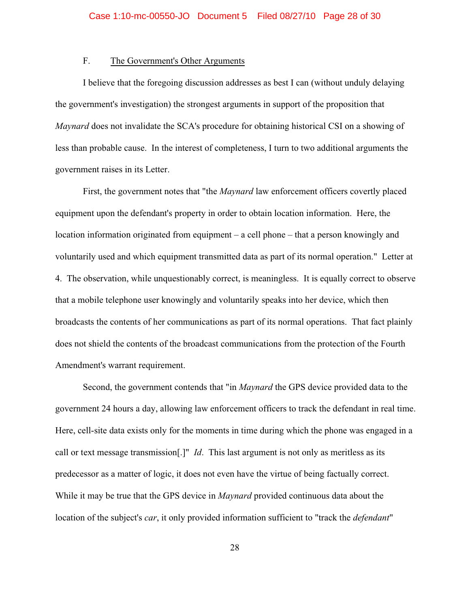# F. The Government's Other Arguments

I believe that the foregoing discussion addresses as best I can (without unduly delaying the government's investigation) the strongest arguments in support of the proposition that *Maynard* does not invalidate the SCA's procedure for obtaining historical CSI on a showing of less than probable cause. In the interest of completeness, I turn to two additional arguments the government raises in its Letter.

First, the government notes that "the *Maynard* law enforcement officers covertly placed equipment upon the defendant's property in order to obtain location information. Here, the location information originated from equipment – a cell phone – that a person knowingly and voluntarily used and which equipment transmitted data as part of its normal operation." Letter at 4. The observation, while unquestionably correct, is meaningless. It is equally correct to observe that a mobile telephone user knowingly and voluntarily speaks into her device, which then broadcasts the contents of her communications as part of its normal operations. That fact plainly does not shield the contents of the broadcast communications from the protection of the Fourth Amendment's warrant requirement.

Second, the government contends that "in *Maynard* the GPS device provided data to the government 24 hours a day, allowing law enforcement officers to track the defendant in real time. Here, cell-site data exists only for the moments in time during which the phone was engaged in a call or text message transmission[.]" *Id*. This last argument is not only as meritless as its predecessor as a matter of logic, it does not even have the virtue of being factually correct. While it may be true that the GPS device in *Maynard* provided continuous data about the location of the subject's *car*, it only provided information sufficient to "track the *defendant*"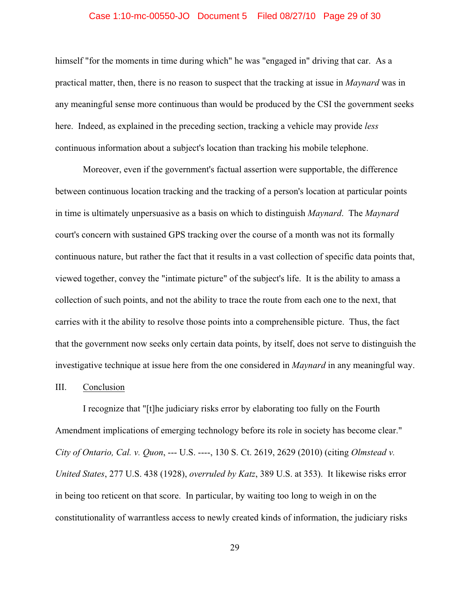### Case 1:10-mc-00550-JO Document 5 Filed 08/27/10 Page 29 of 30

himself "for the moments in time during which" he was "engaged in" driving that car. As a practical matter, then, there is no reason to suspect that the tracking at issue in *Maynard* was in any meaningful sense more continuous than would be produced by the CSI the government seeks here. Indeed, as explained in the preceding section, tracking a vehicle may provide *less* continuous information about a subject's location than tracking his mobile telephone.

Moreover, even if the government's factual assertion were supportable, the difference between continuous location tracking and the tracking of a person's location at particular points in time is ultimately unpersuasive as a basis on which to distinguish *Maynard*. The *Maynard* court's concern with sustained GPS tracking over the course of a month was not its formally continuous nature, but rather the fact that it results in a vast collection of specific data points that, viewed together, convey the "intimate picture" of the subject's life. It is the ability to amass a collection of such points, and not the ability to trace the route from each one to the next, that carries with it the ability to resolve those points into a comprehensible picture. Thus, the fact that the government now seeks only certain data points, by itself, does not serve to distinguish the investigative technique at issue here from the one considered in *Maynard* in any meaningful way.

#### III. Conclusion

I recognize that "[t]he judiciary risks error by elaborating too fully on the Fourth Amendment implications of emerging technology before its role in society has become clear." *City of Ontario, Cal. v. Quon*, --- U.S. ----, 130 S. Ct. 2619, 2629 (2010) (citing *Olmstead v. United States*, 277 U.S. 438 (1928), *overruled by Katz*, 389 U.S. at 353). It likewise risks error in being too reticent on that score. In particular, by waiting too long to weigh in on the constitutionality of warrantless access to newly created kinds of information, the judiciary risks